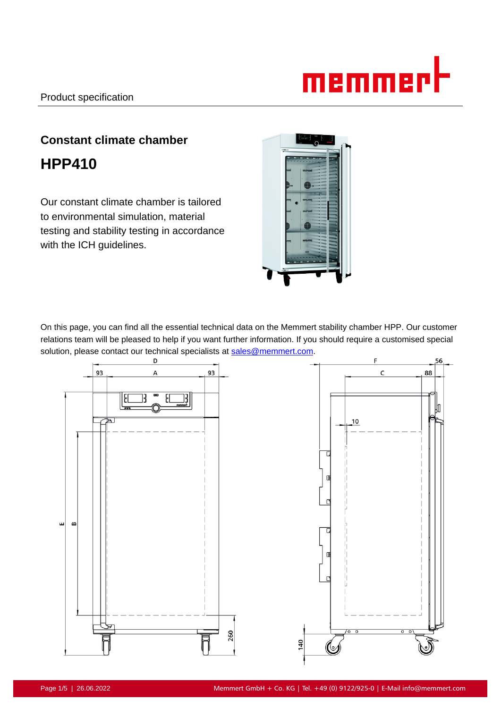

# **Constant climate chamber HPP410**

Our constant climate chamber is tailored to environmental simulation, material testing and stability testing in accordance with the ICH guidelines.



On this page, you can find all the essential technical data on the Memmert stability chamber HPP. Our customer relations team will be pleased to help if you want further information. If you should require a customised special solution, please contact our technical specialists at sales@memmert.com.

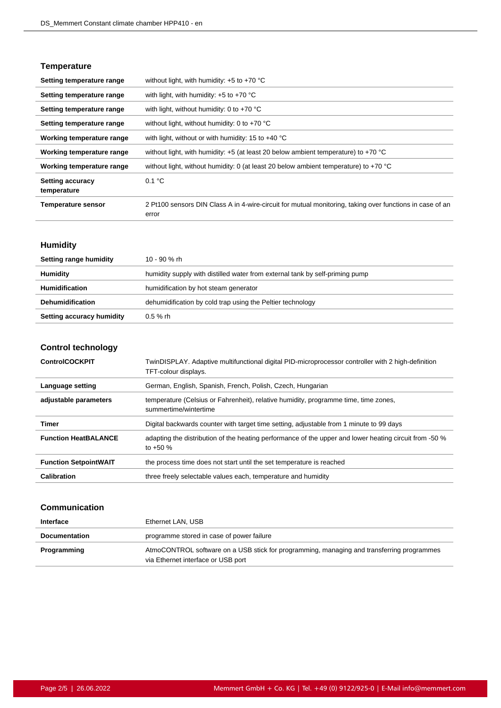## **Temperature**

| Setting temperature range              | without light, with humidity: $+5$ to $+70$ °C                                                                    |  |
|----------------------------------------|-------------------------------------------------------------------------------------------------------------------|--|
| Setting temperature range              | with light, with humidity: $+5$ to $+70$ °C                                                                       |  |
| Setting temperature range              | with light, without humidity: 0 to $+70$ °C                                                                       |  |
| Setting temperature range              | without light, without humidity: 0 to $+70$ °C                                                                    |  |
| Working temperature range              | with light, without or with humidity: 15 to $+40^{\circ}$ C                                                       |  |
| Working temperature range              | without light, with humidity: $+5$ (at least 20 below ambient temperature) to $+70$ °C                            |  |
| Working temperature range              | without light, without humidity: 0 (at least 20 below ambient temperature) to +70 °C                              |  |
| <b>Setting accuracy</b><br>temperature | 0.1 °C                                                                                                            |  |
| <b>Temperature sensor</b>              | 2 Pt100 sensors DIN Class A in 4-wire-circuit for mutual monitoring, taking over functions in case of an<br>error |  |

## **Humidity**

| Setting range humidity    | 10 - 90 % rh                                                                 |
|---------------------------|------------------------------------------------------------------------------|
| Humidity                  | humidity supply with distilled water from external tank by self-priming pump |
| <b>Humidification</b>     | humidification by hot steam generator                                        |
| <b>Dehumidification</b>   | dehumidification by cold trap using the Peltier technology                   |
| Setting accuracy humidity | $0.5 \%$ rh                                                                  |

## **Control technology**

| <b>ControlCOCKPIT</b>        | TwinDISPLAY. Adaptive multifunctional digital PID-microprocessor controller with 2 high-definition<br>TFT-colour displays. |
|------------------------------|----------------------------------------------------------------------------------------------------------------------------|
| Language setting             | German, English, Spanish, French, Polish, Czech, Hungarian                                                                 |
| adjustable parameters        | temperature (Celsius or Fahrenheit), relative humidity, programme time, time zones,<br>summertime/wintertime               |
| Timer                        | Digital backwards counter with target time setting, adjustable from 1 minute to 99 days                                    |
| <b>Function HeatBALANCE</b>  | adapting the distribution of the heating performance of the upper and lower heating circuit from -50 %<br>to $+50%$        |
| <b>Function SetpointWAIT</b> | the process time does not start until the set temperature is reached                                                       |
| <b>Calibration</b>           | three freely selectable values each, temperature and humidity                                                              |

## **Communication**

| Interface            | Ethernet LAN, USB                                                                                                               |  |
|----------------------|---------------------------------------------------------------------------------------------------------------------------------|--|
| <b>Documentation</b> | programme stored in case of power failure                                                                                       |  |
| Programming          | AtmoCONTROL software on a USB stick for programming, managing and transferring programmes<br>via Ethernet interface or USB port |  |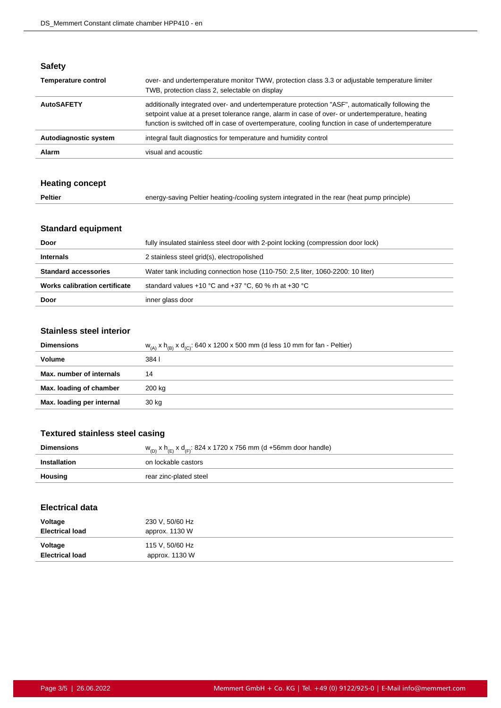## **Safety**

| <b>Temperature control</b> | over- and undertemperature monitor TWW, protection class 3.3 or adjustable temperature limiter<br>TWB, protection class 2, selectable on display                                                                                                                                                         |  |
|----------------------------|----------------------------------------------------------------------------------------------------------------------------------------------------------------------------------------------------------------------------------------------------------------------------------------------------------|--|
| <b>AutoSAFETY</b>          | additionally integrated over- and undertemperature protection "ASF", automatically following the<br>setpoint value at a preset tolerance range, alarm in case of over- or undertemperature, heating<br>function is switched off in case of overtemperature, cooling function in case of undertemperature |  |
| Autodiagnostic system      | integral fault diagnostics for temperature and humidity control                                                                                                                                                                                                                                          |  |
| Alarm                      | visual and acoustic                                                                                                                                                                                                                                                                                      |  |

## **Heating concept**

| Peltier | energy-saving Peltier heating-/cooling system integrated in the rear (heat pump principle) |
|---------|--------------------------------------------------------------------------------------------|
|---------|--------------------------------------------------------------------------------------------|

## **Standard equipment**

| Door                          | fully insulated stainless steel door with 2-point locking (compression door lock) |  |
|-------------------------------|-----------------------------------------------------------------------------------|--|
| <b>Internals</b>              | 2 stainless steel grid(s), electropolished                                        |  |
| <b>Standard accessories</b>   | Water tank including connection hose (110-750: 2.5 liter, 1060-2200: 10 liter)    |  |
| Works calibration certificate | standard values +10 °C and +37 °C, 60 % rh at +30 °C                              |  |
| Door                          | inner glass door                                                                  |  |

#### **Stainless steel interior**

| <b>Dimensions</b>         | $w_{(A)}$ x h <sub>(B)</sub> x d <sub>(C)</sub> : 640 x 1200 x 500 mm (d less 10 mm for fan - Peltier) |
|---------------------------|--------------------------------------------------------------------------------------------------------|
| Volume                    | 384 I                                                                                                  |
| Max. number of internals  | 14                                                                                                     |
| Max. loading of chamber   | 200 kg                                                                                                 |
| Max. loading per internal | 30 kg                                                                                                  |

## **Textured stainless steel casing**

| <b>Dimensions</b> | $w_{(D)}$ x h <sub>(E)</sub> x d <sub>(F)</sub> : 824 x 1720 x 756 mm (d +56mm door handle) |  |
|-------------------|---------------------------------------------------------------------------------------------|--|
| Installation      | on lockable castors                                                                         |  |
| Housing           | rear zinc-plated steel                                                                      |  |

## **Electrical data**

| Voltage<br><b>Electrical load</b> | 230 V, 50/60 Hz<br>approx. 1130 W |  |
|-----------------------------------|-----------------------------------|--|
| Voltage<br><b>Electrical load</b> | 115 V, 50/60 Hz<br>approx. 1130 W |  |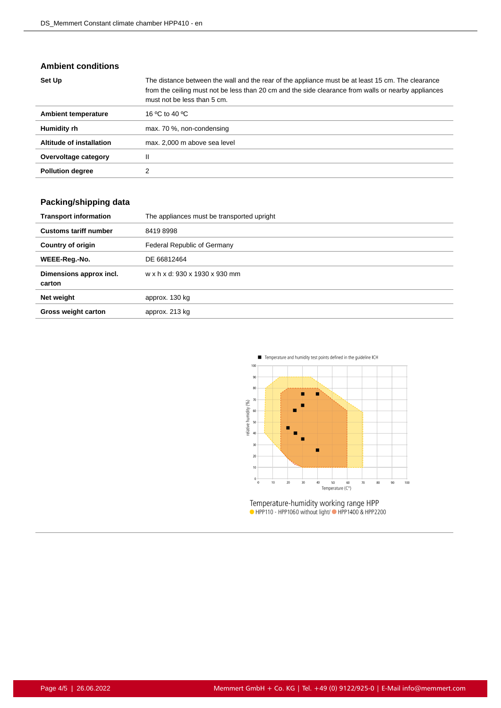#### **Ambient conditions**

| Set Up                   | The distance between the wall and the rear of the appliance must be at least 15 cm. The clearance<br>from the ceiling must not be less than 20 cm and the side clearance from walls or nearby appliances<br>must not be less than 5 cm. |
|--------------------------|-----------------------------------------------------------------------------------------------------------------------------------------------------------------------------------------------------------------------------------------|
| Ambient temperature      | 16 °C to 40 °C                                                                                                                                                                                                                          |
| Humidity rh              | max. 70 %, non-condensing                                                                                                                                                                                                               |
| Altitude of installation | max. 2,000 m above sea level                                                                                                                                                                                                            |
| Overvoltage category     | Ш                                                                                                                                                                                                                                       |
| <b>Pollution degree</b>  |                                                                                                                                                                                                                                         |

## **Packing/shipping data**

| <b>Transport information</b>      | The appliances must be transported upright |
|-----------------------------------|--------------------------------------------|
| <b>Customs tariff number</b>      | 84198998                                   |
| <b>Country of origin</b>          | Federal Republic of Germany                |
| WEEE-Reg.-No.                     | DE 66812464                                |
| Dimensions approx incl.<br>carton | w x h x d: 930 x 1930 x 930 mm             |
| Net weight                        | approx. 130 kg                             |
| <b>Gross weight carton</b>        | approx. 213 kg                             |



Temperature-humidity working range HPP<br>• HPP110 - HPP1060 without light/• HPP1400 & HPP2200